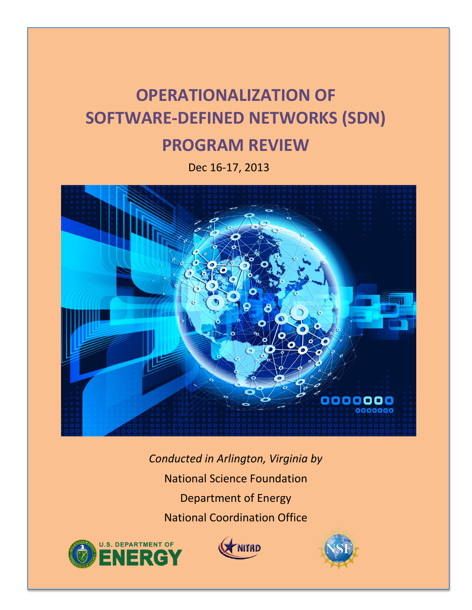# **OPERATIONALIZATION OF SOFTWARE-DEFINED NETWORKS (SDN)**

## **PROGRAM REVIEW**

Dec 16-17, 2013



*Conducted in Arlington, Virginia by* National Science Foundation Department of Energy National Coordination Office





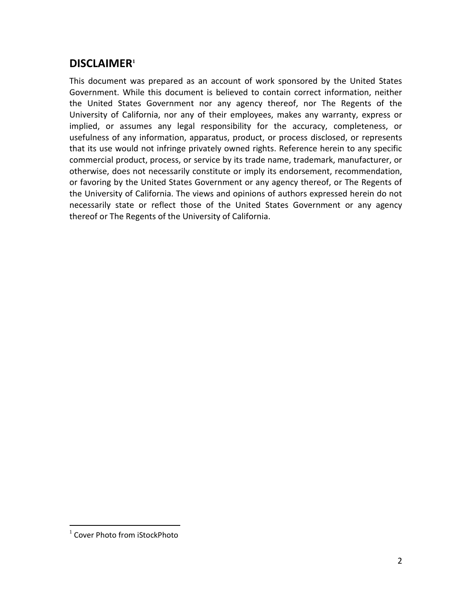## **DISCLAIMER<sup>1</sup>**

This document was prepared as an account of work sponsored by the United States Government. While this document is believed to contain correct information, neither the United States Government nor any agency thereof, nor The Regents of the University of California, nor any of their employees, makes any warranty, express or implied, or assumes any legal responsibility for the accuracy, completeness, or usefulness of any information, apparatus, product, or process disclosed, or represents that its use would not infringe privately owned rights. Reference herein to any specific commercial product, process, or service by its trade name, trademark, manufacturer, or otherwise, does not necessarily constitute or imply its endorsement, recommendation, or favoring by the United States Government or any agency thereof, or The Regents of the University of California. The views and opinions of authors expressed herein do not necessarily state or reflect those of the United States Government or any agency thereof or The Regents of the University of California.

 $\overline{a}$ 

<sup>&</sup>lt;sup>1</sup> Cover Photo from iStockPhoto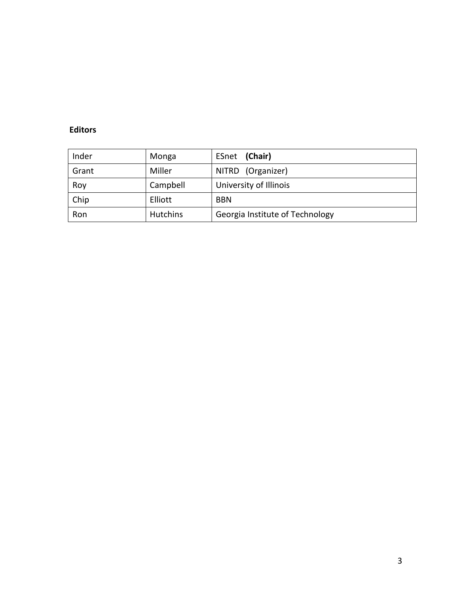#### **Editors**

| Inder | Monga           | (Chair)<br>ESnet                |
|-------|-----------------|---------------------------------|
| Grant | Miller          | NITRD (Organizer)               |
| Roy   | Campbell        | University of Illinois          |
| Chip  | Elliott         | <b>BBN</b>                      |
| Ron   | <b>Hutchins</b> | Georgia Institute of Technology |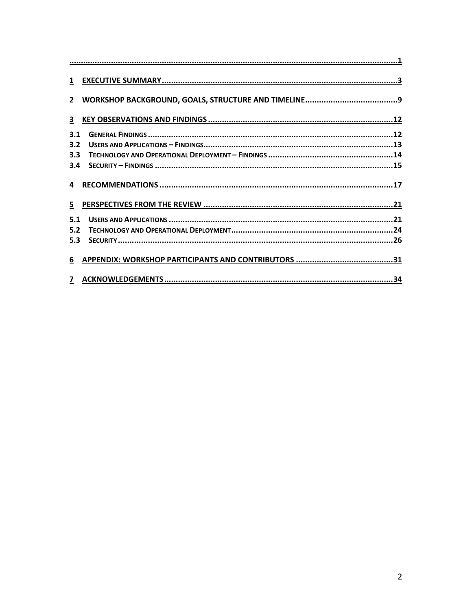| 3   |  |
|-----|--|
| 3.1 |  |
| 3.2 |  |
| 3.3 |  |
| 3.4 |  |
|     |  |
|     |  |
| 5   |  |
| 5.1 |  |
| 5.2 |  |
| 5.3 |  |
| 6   |  |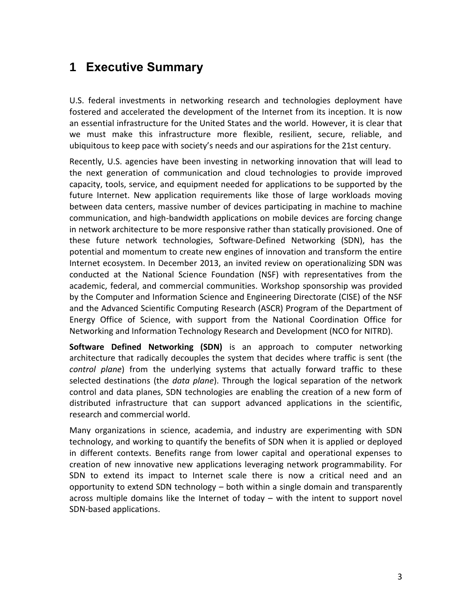## **1 Executive Summary**

U.S. federal investments in networking research and technologies deployment have fostered and accelerated the development of the Internet from its inception. It is now an essential infrastructure for the United States and the world. However, it is clear that we must make this infrastructure more flexible, resilient, secure, reliable, and ubiquitous to keep pace with society's needs and our aspirations for the 21st century.

Recently, U.S. agencies have been investing in networking innovation that will lead to the next generation of communication and cloud technologies to provide improved capacity, tools, service, and equipment needed for applications to be supported by the future Internet. New application requirements like those of large workloads moving between data centers, massive number of devices participating in machine to machine communication, and high-bandwidth applications on mobile devices are forcing change in network architecture to be more responsive rather than statically provisioned. One of these future network technologies, Software-Defined Networking (SDN), has the potential and momentum to create new engines of innovation and transform the entire Internet ecosystem. In December 2013, an invited review on operationalizing SDN was conducted at the National Science Foundation (NSF) with representatives from the academic, federal, and commercial communities. Workshop sponsorship was provided by the Computer and Information Science and Engineering Directorate (CISE) of the NSF and the Advanced Scientific Computing Research (ASCR) Program of the Department of Energy Office of Science, with support from the National Coordination Office for Networking and Information Technology Research and Development (NCO for NITRD).

**Software Defined Networking (SDN)** is an approach to computer networking architecture that radically decouples the system that decides where traffic is sent (the *control plane*) from the underlying systems that actually forward traffic to these selected destinations (the *data plane*). Through the logical separation of the network control and data planes, SDN technologies are enabling the creation of a new form of distributed infrastructure that can support advanced applications in the scientific, research and commercial world.

Many organizations in science, academia, and industry are experimenting with SDN technology, and working to quantify the benefits of SDN when it is applied or deployed in different contexts. Benefits range from lower capital and operational expenses to creation of new innovative new applications leveraging network programmability. For SDN to extend its impact to Internet scale there is now a critical need and an opportunity to extend SDN technology – both within a single domain and transparently across multiple domains like the Internet of today – with the intent to support novel SDN-based applications.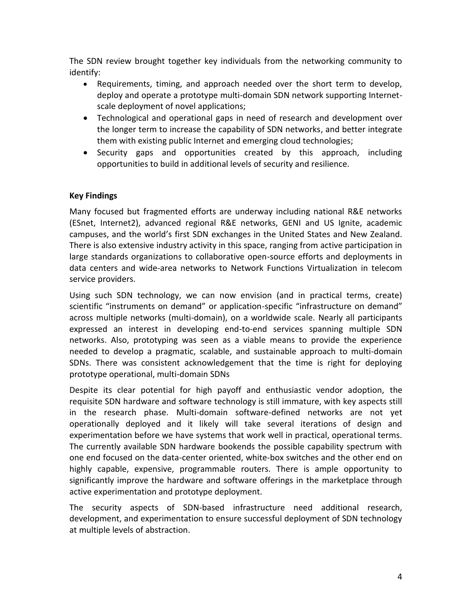The SDN review brought together key individuals from the networking community to identify:

- Requirements, timing, and approach needed over the short term to develop, deploy and operate a prototype multi-domain SDN network supporting Internetscale deployment of novel applications;
- Technological and operational gaps in need of research and development over the longer term to increase the capability of SDN networks, and better integrate them with existing public Internet and emerging cloud technologies;
- Security gaps and opportunities created by this approach, including opportunities to build in additional levels of security and resilience.

#### **Key Findings**

Many focused but fragmented efforts are underway including national R&E networks (ESnet, Internet2), advanced regional R&E networks, GENI and US Ignite, academic campuses, and the world's first SDN exchanges in the United States and New Zealand. There is also extensive industry activity in this space, ranging from active participation in large standards organizations to collaborative open-source efforts and deployments in data centers and wide-area networks to Network Functions Virtualization in telecom service providers.

Using such SDN technology, we can now envision (and in practical terms, create) scientific "instruments on demand" or application-specific "infrastructure on demand" across multiple networks (multi-domain), on a worldwide scale. Nearly all participants expressed an interest in developing end-to-end services spanning multiple SDN networks. Also, prototyping was seen as a viable means to provide the experience needed to develop a pragmatic, scalable, and sustainable approach to multi-domain SDNs. There was consistent acknowledgement that the time is right for deploying prototype operational, multi-domain SDNs

Despite its clear potential for high payoff and enthusiastic vendor adoption, the requisite SDN hardware and software technology is still immature, with key aspects still in the research phase. Multi-domain software-defined networks are not yet operationally deployed and it likely will take several iterations of design and experimentation before we have systems that work well in practical, operational terms. The currently available SDN hardware bookends the possible capability spectrum with one end focused on the data-center oriented, white-box switches and the other end on highly capable, expensive, programmable routers. There is ample opportunity to significantly improve the hardware and software offerings in the marketplace through active experimentation and prototype deployment.

The security aspects of SDN-based infrastructure need additional research, development, and experimentation to ensure successful deployment of SDN technology at multiple levels of abstraction.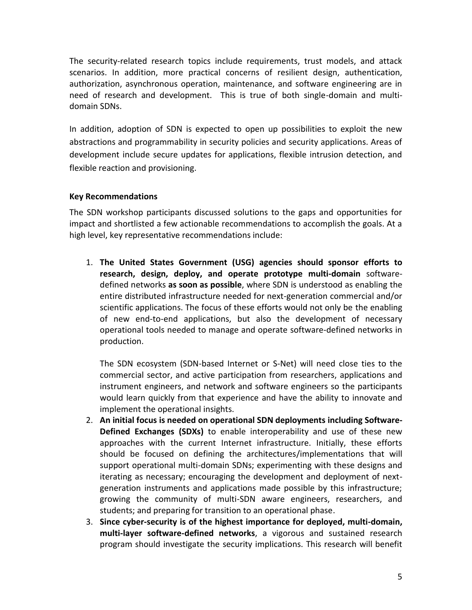The security-related research topics include requirements, trust models, and attack scenarios. In addition, more practical concerns of resilient design, authentication, authorization, asynchronous operation, maintenance, and software engineering are in need of research and development. This is true of both single-domain and multidomain SDNs.

In addition, adoption of SDN is expected to open up possibilities to exploit the new abstractions and programmability in security policies and security applications. Areas of development include secure updates for applications, flexible intrusion detection, and flexible reaction and provisioning.

#### **Key Recommendations**

The SDN workshop participants discussed solutions to the gaps and opportunities for impact and shortlisted a few actionable recommendations to accomplish the goals. At a high level, key representative recommendations include:

1. **The United States Government (USG) agencies should sponsor efforts to research, design, deploy, and operate prototype multi-domain** softwaredefined networks **as soon as possible**, where SDN is understood as enabling the entire distributed infrastructure needed for next-generation commercial and/or scientific applications. The focus of these efforts would not only be the enabling of new end-to-end applications, but also the development of necessary operational tools needed to manage and operate software-defined networks in production.

The SDN ecosystem (SDN-based Internet or S-Net) will need close ties to the commercial sector, and active participation from researchers, applications and instrument engineers, and network and software engineers so the participants would learn quickly from that experience and have the ability to innovate and implement the operational insights.

- 2. **An initial focus is needed on operational SDN deployments including Software-Defined Exchanges (SDXs)** to enable interoperability and use of these new approaches with the current Internet infrastructure. Initially, these efforts should be focused on defining the architectures/implementations that will support operational multi-domain SDNs; experimenting with these designs and iterating as necessary; encouraging the development and deployment of nextgeneration instruments and applications made possible by this infrastructure; growing the community of multi-SDN aware engineers, researchers, and students; and preparing for transition to an operational phase.
- 3. **Since cyber-security is of the highest importance for deployed, multi-domain, multi-layer software-defined networks**, a vigorous and sustained research program should investigate the security implications. This research will benefit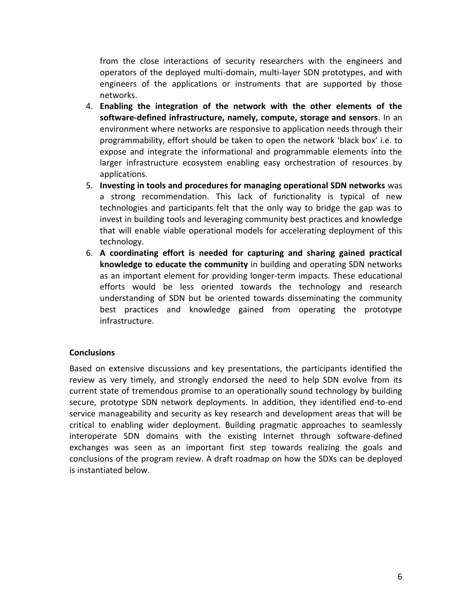from the close interactions of security researchers with the engineers and operators of the deployed multi-domain, multi-layer SDN prototypes, and with engineers of the applications or instruments that are supported by those networks.

- 4. **Enabling the integration of the network with the other elements of the software-defined infrastructure, namely, compute, storage and sensors**. In an environment where networks are responsive to application needs through their programmability, effort should be taken to open the network 'black box' i.e. to expose and integrate the informational and programmable elements into the larger infrastructure ecosystem enabling easy orchestration of resources by applications.
- 5. **Investing in tools and procedures for managing operational SDN networks** was a strong recommendation. This lack of functionality is typical of new technologies and participants felt that the only way to bridge the gap was to invest in building tools and leveraging community best practices and knowledge that will enable viable operational models for accelerating deployment of this technology.
- 6. **A coordinating effort is needed for capturing and sharing gained practical knowledge to educate the community** in building and operating SDN networks as an important element for providing longer-term impacts. These educational efforts would be less oriented towards the technology and research understanding of SDN but be oriented towards disseminating the community best practices and knowledge gained from operating the prototype infrastructure.

#### **Conclusions**

Based on extensive discussions and key presentations, the participants identified the review as very timely, and strongly endorsed the need to help SDN evolve from its current state of tremendous promise to an operationally sound technology by building secure, prototype SDN network deployments. In addition, they identified end-to-end service manageability and security as key research and development areas that will be critical to enabling wider deployment. Building pragmatic approaches to seamlessly interoperate SDN domains with the existing Internet through software-defined exchanges was seen as an important first step towards realizing the goals and conclusions of the program review. A draft roadmap on how the SDXs can be deployed is instantiated below.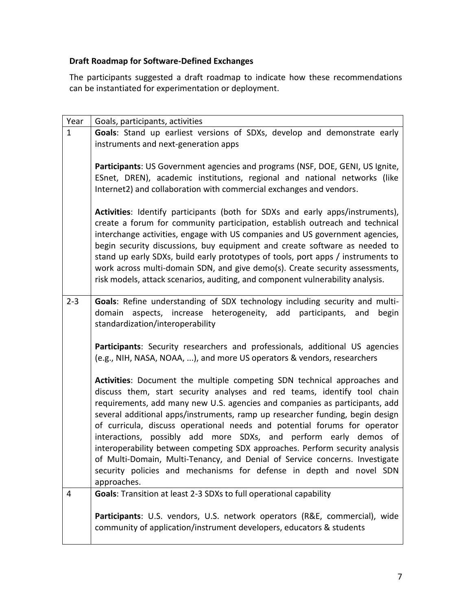#### **Draft Roadmap for Software-Defined Exchanges**

The participants suggested a draft roadmap to indicate how these recommendations can be instantiated for experimentation or deployment.

| Year         | Goals, participants, activities                                                                                                                                                                                                                                                                                                                                                                                                                                                                                                                                                                                                                                                                                            |
|--------------|----------------------------------------------------------------------------------------------------------------------------------------------------------------------------------------------------------------------------------------------------------------------------------------------------------------------------------------------------------------------------------------------------------------------------------------------------------------------------------------------------------------------------------------------------------------------------------------------------------------------------------------------------------------------------------------------------------------------------|
| $\mathbf{1}$ | Goals: Stand up earliest versions of SDXs, develop and demonstrate early<br>instruments and next-generation apps                                                                                                                                                                                                                                                                                                                                                                                                                                                                                                                                                                                                           |
|              | Participants: US Government agencies and programs (NSF, DOE, GENI, US Ignite,<br>ESnet, DREN), academic institutions, regional and national networks (like<br>Internet2) and collaboration with commercial exchanges and vendors.                                                                                                                                                                                                                                                                                                                                                                                                                                                                                          |
|              | Activities: Identify participants (both for SDXs and early apps/instruments),<br>create a forum for community participation, establish outreach and technical<br>interchange activities, engage with US companies and US government agencies,<br>begin security discussions, buy equipment and create software as needed to<br>stand up early SDXs, build early prototypes of tools, port apps / instruments to<br>work across multi-domain SDN, and give demo(s). Create security assessments,<br>risk models, attack scenarios, auditing, and component vulnerability analysis.                                                                                                                                          |
| $2 - 3$      | Goals: Refine understanding of SDX technology including security and multi-<br>domain aspects, increase heterogeneity, add participants, and<br>begin<br>standardization/interoperability                                                                                                                                                                                                                                                                                                                                                                                                                                                                                                                                  |
|              | Participants: Security researchers and professionals, additional US agencies<br>(e.g., NIH, NASA, NOAA, ), and more US operators & vendors, researchers                                                                                                                                                                                                                                                                                                                                                                                                                                                                                                                                                                    |
|              | Activities: Document the multiple competing SDN technical approaches and<br>discuss them, start security analyses and red teams, identify tool chain<br>requirements, add many new U.S. agencies and companies as participants, add<br>several additional apps/instruments, ramp up researcher funding, begin design<br>of curricula, discuss operational needs and potential forums for operator<br>interactions, possibly add more SDXs, and perform early demos of<br>interoperability between competing SDX approaches. Perform security analysis<br>of Multi-Domain, Multi-Tenancy, and Denial of Service concerns. Investigate<br>security policies and mechanisms for defense in depth and novel SDN<br>approaches. |
| 4            | Goals: Transition at least 2-3 SDXs to full operational capability                                                                                                                                                                                                                                                                                                                                                                                                                                                                                                                                                                                                                                                         |
|              | Participants: U.S. vendors, U.S. network operators (R&E, commercial), wide<br>community of application/instrument developers, educators & students                                                                                                                                                                                                                                                                                                                                                                                                                                                                                                                                                                         |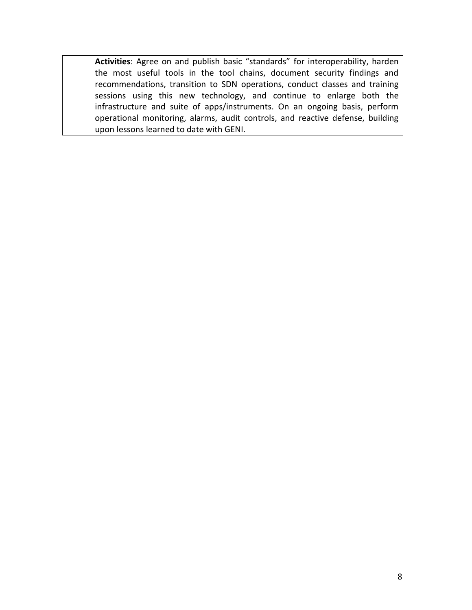**Activities**: Agree on and publish basic "standards" for interoperability, harden the most useful tools in the tool chains, document security findings and recommendations, transition to SDN operations, conduct classes and training sessions using this new technology, and continue to enlarge both the infrastructure and suite of apps/instruments. On an ongoing basis, perform operational monitoring, alarms, audit controls, and reactive defense, building upon lessons learned to date with GENI.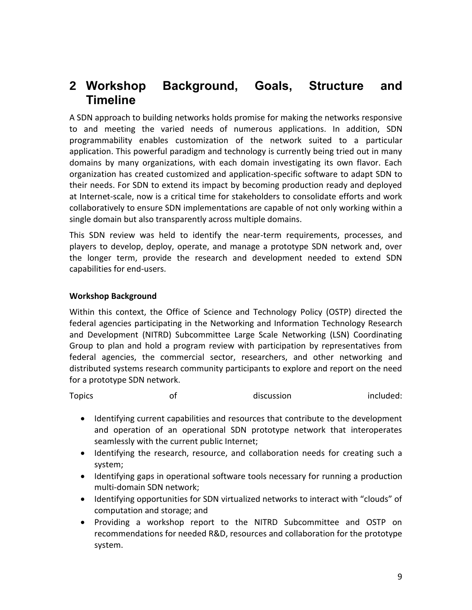## **2 Workshop Background, Goals, Structure and Timeline**

A SDN approach to building networks holds promise for making the networks responsive to and meeting the varied needs of numerous applications. In addition, SDN programmability enables customization of the network suited to a particular application. This powerful paradigm and technology is currently being tried out in many domains by many organizations, with each domain investigating its own flavor. Each organization has created customized and application-specific software to adapt SDN to their needs. For SDN to extend its impact by becoming production ready and deployed at Internet-scale, now is a critical time for stakeholders to consolidate efforts and work collaboratively to ensure SDN implementations are capable of not only working within a single domain but also transparently across multiple domains.

This SDN review was held to identify the near-term requirements, processes, and players to develop, deploy, operate, and manage a prototype SDN network and, over the longer term, provide the research and development needed to extend SDN capabilities for end-users.

#### **Workshop Background**

Within this context, the Office of Science and Technology Policy (OSTP) directed the federal agencies participating in the Networking and Information Technology Research and Development (NITRD) Subcommittee Large Scale Networking (LSN) Coordinating Group to plan and hold a program review with participation by representatives from federal agencies, the commercial sector, researchers, and other networking and distributed systems research community participants to explore and report on the need for a prototype SDN network.

Topics and of the discussion included:

- Identifying current capabilities and resources that contribute to the development and operation of an operational SDN prototype network that interoperates seamlessly with the current public Internet;
- Identifying the research, resource, and collaboration needs for creating such a system;
- Identifying gaps in operational software tools necessary for running a production multi-domain SDN network;
- Identifying opportunities for SDN virtualized networks to interact with "clouds" of computation and storage; and
- Providing a workshop report to the NITRD Subcommittee and OSTP on recommendations for needed R&D, resources and collaboration for the prototype system.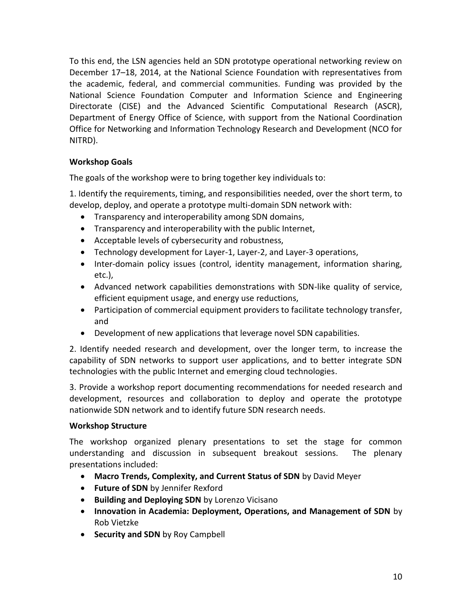To this end, the LSN agencies held an SDN prototype operational networking review on December 17–18, 2014, at the National Science Foundation with representatives from the academic, federal, and commercial communities. Funding was provided by the National Science Foundation Computer and Information Science and Engineering Directorate (CISE) and the Advanced Scientific Computational Research (ASCR), Department of Energy Office of Science, with support from the National Coordination Office for Networking and Information Technology Research and Development (NCO for NITRD).

#### **Workshop Goals**

The goals of the workshop were to bring together key individuals to:

1. Identify the requirements, timing, and responsibilities needed, over the short term, to develop, deploy, and operate a prototype multi-domain SDN network with:

- Transparency and interoperability among SDN domains,
- Transparency and interoperability with the public Internet,
- Acceptable levels of cybersecurity and robustness,
- Technology development for Layer-1, Layer-2, and Layer-3 operations,
- Inter-domain policy issues (control, identity management, information sharing, etc.),
- Advanced network capabilities demonstrations with SDN-like quality of service, efficient equipment usage, and energy use reductions,
- Participation of commercial equipment providers to facilitate technology transfer, and
- Development of new applications that leverage novel SDN capabilities.

2. Identify needed research and development, over the longer term, to increase the capability of SDN networks to support user applications, and to better integrate SDN technologies with the public Internet and emerging cloud technologies.

3. Provide a workshop report documenting recommendations for needed research and development, resources and collaboration to deploy and operate the prototype nationwide SDN network and to identify future SDN research needs.

#### **Workshop Structure**

The workshop organized plenary presentations to set the stage for common understanding and discussion in subsequent breakout sessions. The plenary presentations included:

- **Macro Trends, Complexity, and Current Status of SDN** by David Meyer
- **Future of SDN** by Jennifer Rexford
- **Building and Deploying SDN** by Lorenzo Vicisano
- **Innovation in Academia: Deployment, Operations, and Management of SDN** by Rob Vietzke
- **Security and SDN** by Roy Campbell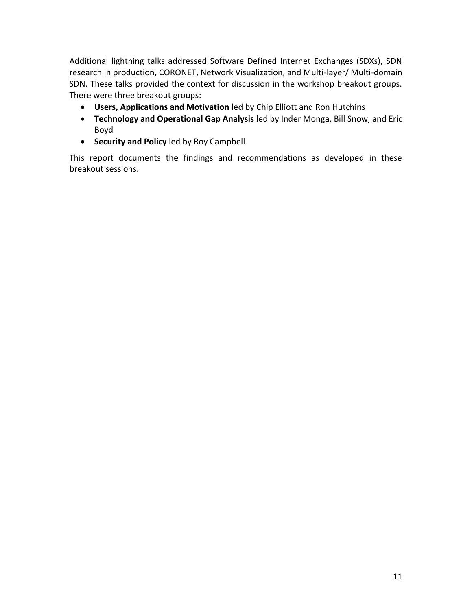Additional lightning talks addressed Software Defined Internet Exchanges (SDXs), SDN research in production, CORONET, Network Visualization, and Multi-layer/ Multi-domain SDN. These talks provided the context for discussion in the workshop breakout groups. There were three breakout groups:

- **Users, Applications and Motivation** led by Chip Elliott and Ron Hutchins
- **Technology and Operational Gap Analysis** led by Inder Monga, Bill Snow, and Eric Boyd
- **Security and Policy** led by Roy Campbell

This report documents the findings and recommendations as developed in these breakout sessions.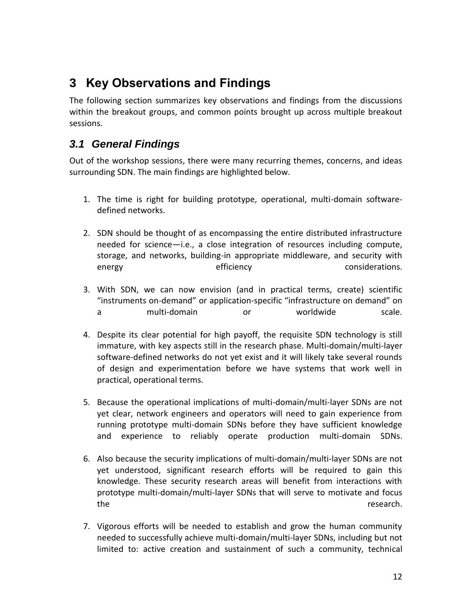## **3 Key Observations and Findings**

The following section summarizes key observations and findings from the discussions within the breakout groups, and common points brought up across multiple breakout sessions.

## *3.1 General Findings*

Out of the workshop sessions, there were many recurring themes, concerns, and ideas surrounding SDN. The main findings are highlighted below.

- 1. The time is right for building prototype, operational, multi-domain softwaredefined networks.
- 2. SDN should be thought of as encompassing the entire distributed infrastructure needed for science—i.e., a close integration of resources including compute, storage, and networks, building-in appropriate middleware, and security with energy efficiency efficiency considerations.
- 3. With SDN, we can now envision (and in practical terms, create) scientific "instruments on-demand" or application-specific "infrastructure on demand" on a multi-domain or worldwide scale.
- 4. Despite its clear potential for high payoff, the requisite SDN technology is still immature, with key aspects still in the research phase. Multi-domain/multi-layer software-defined networks do not yet exist and it will likely take several rounds of design and experimentation before we have systems that work well in practical, operational terms.
- 5. Because the operational implications of multi-domain/multi-layer SDNs are not yet clear, network engineers and operators will need to gain experience from running prototype multi-domain SDNs before they have sufficient knowledge and experience to reliably operate production multi-domain SDNs.
- 6. Also because the security implications of multi-domain/multi-layer SDNs are not yet understood, significant research efforts will be required to gain this knowledge. These security research areas will benefit from interactions with prototype multi-domain/multi-layer SDNs that will serve to motivate and focus the research.
- 7. Vigorous efforts will be needed to establish and grow the human community needed to successfully achieve multi-domain/multi-layer SDNs, including but not limited to: active creation and sustainment of such a community, technical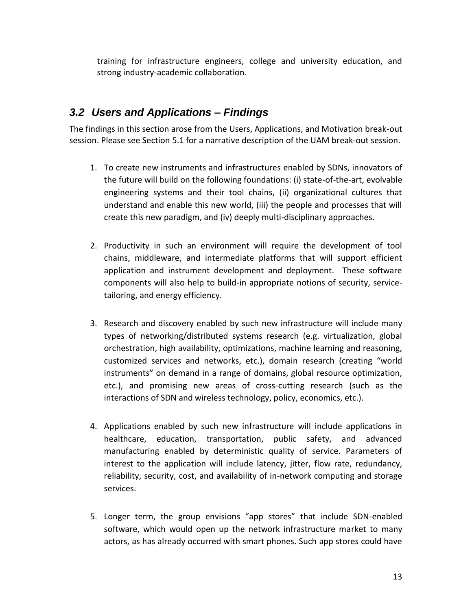training for infrastructure engineers, college and university education, and strong industry-academic collaboration.

### *3.2 Users and Applications – Findings*

The findings in this section arose from the Users, Applications, and Motivation break-out session. Please see Section [5.1](#page-22-0) for a narrative description of the UAM break-out session.

- 1. To create new instruments and infrastructures enabled by SDNs, innovators of the future will build on the following foundations: (i) state-of-the-art, evolvable engineering systems and their tool chains, (ii) organizational cultures that understand and enable this new world, (iii) the people and processes that will create this new paradigm, and (iv) deeply multi-disciplinary approaches.
- 2. Productivity in such an environment will require the development of tool chains, middleware, and intermediate platforms that will support efficient application and instrument development and deployment. These software components will also help to build-in appropriate notions of security, servicetailoring, and energy efficiency.
- 3. Research and discovery enabled by such new infrastructure will include many types of networking/distributed systems research (e.g. virtualization, global orchestration, high availability, optimizations, machine learning and reasoning, customized services and networks, etc.), domain research (creating "world instruments" on demand in a range of domains, global resource optimization, etc.), and promising new areas of cross-cutting research (such as the interactions of SDN and wireless technology, policy, economics, etc.).
- 4. Applications enabled by such new infrastructure will include applications in healthcare, education, transportation, public safety, and advanced manufacturing enabled by deterministic quality of service. Parameters of interest to the application will include latency, jitter, flow rate, redundancy, reliability, security, cost, and availability of in-network computing and storage services.
- 5. Longer term, the group envisions "app stores" that include SDN-enabled software, which would open up the network infrastructure market to many actors, as has already occurred with smart phones. Such app stores could have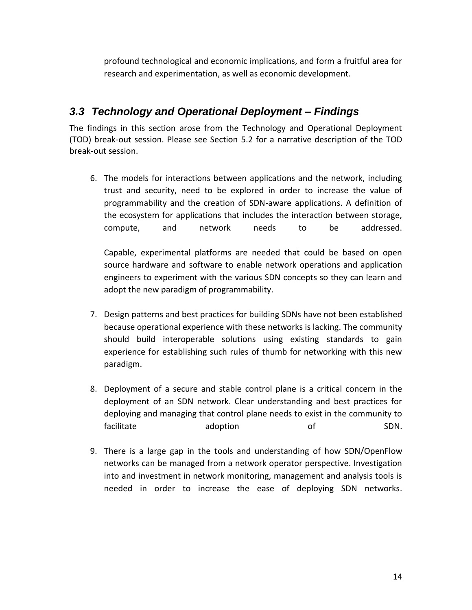profound technological and economic implications, and form a fruitful area for research and experimentation, as well as economic development.

## *3.3 Technology and Operational Deployment – Findings*

The findings in this section arose from the Technology and Operational Deployment (TOD) break-out session. Please see Section [5.2](#page-25-0) for a narrative description of the TOD break-out session.

6. The models for interactions between applications and the network, including trust and security, need to be explored in order to increase the value of programmability and the creation of SDN-aware applications. A definition of the ecosystem for applications that includes the interaction between storage, compute, and network needs to be addressed.

Capable, experimental platforms are needed that could be based on open source hardware and software to enable network operations and application engineers to experiment with the various SDN concepts so they can learn and adopt the new paradigm of programmability.

- 7. Design patterns and best practices for building SDNs have not been established because operational experience with these networks is lacking. The community should build interoperable solutions using existing standards to gain experience for establishing such rules of thumb for networking with this new paradigm.
- 8. Deployment of a secure and stable control plane is a critical concern in the deployment of an SDN network. Clear understanding and best practices for deploying and managing that control plane needs to exist in the community to facilitate **adoption** and **number** of SDN.
- 9. There is a large gap in the tools and understanding of how SDN/OpenFlow networks can be managed from a network operator perspective. Investigation into and investment in network monitoring, management and analysis tools is needed in order to increase the ease of deploying SDN networks.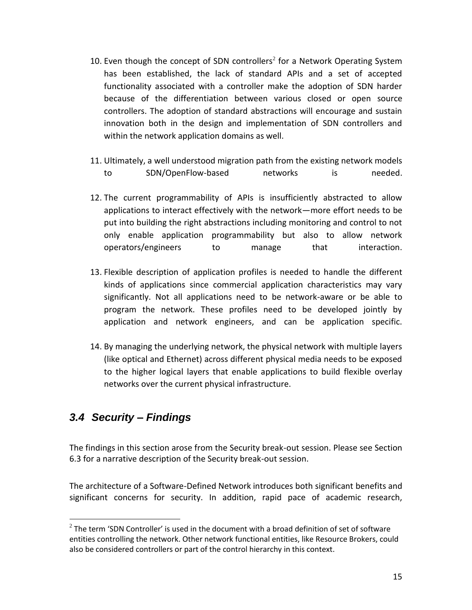- 10. Even though the concept of SDN controllers<sup>2</sup> for a Network Operating System has been established, the lack of standard APIs and a set of accepted functionality associated with a controller make the adoption of SDN harder because of the differentiation between various closed or open source controllers. The adoption of standard abstractions will encourage and sustain innovation both in the design and implementation of SDN controllers and within the network application domains as well.
- 11. Ultimately, a well understood migration path from the existing network models to SDN/OpenFlow-based networks is needed.
- 12. The current programmability of APIs is insufficiently abstracted to allow applications to interact effectively with the network—more effort needs to be put into building the right abstractions including monitoring and control to not only enable application programmability but also to allow network operators/engineers to manage that interaction.
- 13. Flexible description of application profiles is needed to handle the different kinds of applications since commercial application characteristics may vary significantly. Not all applications need to be network-aware or be able to program the network. These profiles need to be developed jointly by application and network engineers, and can be application specific.
- 14. By managing the underlying network, the physical network with multiple layers (like optical and Ethernet) across different physical media needs to be exposed to the higher logical layers that enable applications to build flexible overlay networks over the current physical infrastructure.

### *3.4 Security – Findings*

 $\overline{a}$ 

The findings in this section arose from the Security break-out session. Please see Section 6.3 for a narrative description of the Security break-out session.

The architecture of a Software-Defined Network introduces both significant benefits and significant concerns for security. In addition, rapid pace of academic research,

 $^2$  The term 'SDN Controller' is used in the document with a broad definition of set of software entities controlling the network. Other network functional entities, like Resource Brokers, could also be considered controllers or part of the control hierarchy in this context.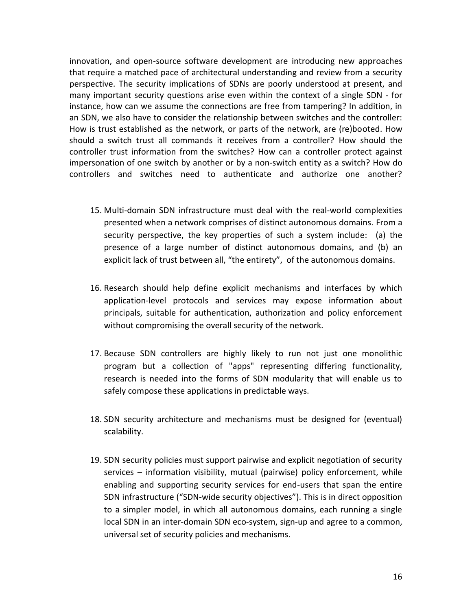innovation, and open-source software development are introducing new approaches that require a matched pace of architectural understanding and review from a security perspective. The security implications of SDNs are poorly understood at present, and many important security questions arise even within the context of a single SDN - for instance, how can we assume the connections are free from tampering? In addition, in an SDN, we also have to consider the relationship between switches and the controller: How is trust established as the network, or parts of the network, are (re)booted. How should a switch trust all commands it receives from a controller? How should the controller trust information from the switches? How can a controller protect against impersonation of one switch by another or by a non-switch entity as a switch? How do controllers and switches need to authenticate and authorize one another?

- 15. Multi-domain SDN infrastructure must deal with the real-world complexities presented when a network comprises of distinct autonomous domains. From a security perspective, the key properties of such a system include: (a) the presence of a large number of distinct autonomous domains, and (b) an explicit lack of trust between all, "the entirety", of the autonomous domains.
- 16. Research should help define explicit mechanisms and interfaces by which application-level protocols and services may expose information about principals, suitable for authentication, authorization and policy enforcement without compromising the overall security of the network.
- 17. Because SDN controllers are highly likely to run not just one monolithic program but a collection of "apps" representing differing functionality, research is needed into the forms of SDN modularity that will enable us to safely compose these applications in predictable ways.
- 18. SDN security architecture and mechanisms must be designed for (eventual) scalability.
- 19. SDN security policies must support pairwise and explicit negotiation of security services – information visibility, mutual (pairwise) policy enforcement, while enabling and supporting security services for end-users that span the entire SDN infrastructure ("SDN-wide security objectives"). This is in direct opposition to a simpler model, in which all autonomous domains, each running a single local SDN in an inter-domain SDN eco-system, sign-up and agree to a common, universal set of security policies and mechanisms.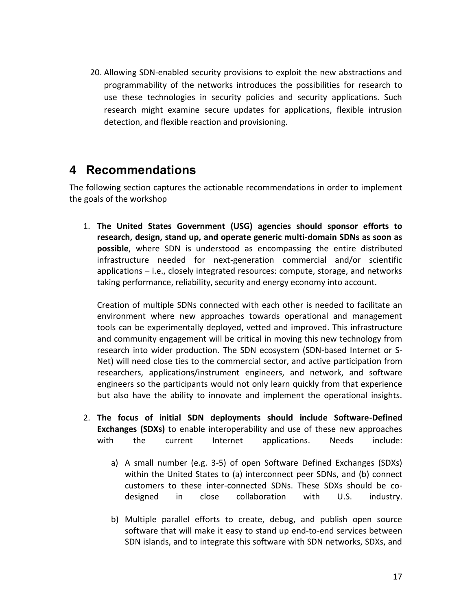20. Allowing SDN-enabled security provisions to exploit the new abstractions and programmability of the networks introduces the possibilities for research to use these technologies in security policies and security applications. Such research might examine secure updates for applications, flexible intrusion detection, and flexible reaction and provisioning.

## **4 Recommendations**

The following section captures the actionable recommendations in order to implement the goals of the workshop

1. **The United States Government (USG) agencies should sponsor efforts to research, design, stand up, and operate generic multi-domain SDNs as soon as possible**, where SDN is understood as encompassing the entire distributed infrastructure needed for next-generation commercial and/or scientific applications – i.e., closely integrated resources: compute, storage, and networks taking performance, reliability, security and energy economy into account.

Creation of multiple SDNs connected with each other is needed to facilitate an environment where new approaches towards operational and management tools can be experimentally deployed, vetted and improved. This infrastructure and community engagement will be critical in moving this new technology from research into wider production. The SDN ecosystem (SDN-based Internet or S-Net) will need close ties to the commercial sector, and active participation from researchers, applications/instrument engineers, and network, and software engineers so the participants would not only learn quickly from that experience but also have the ability to innovate and implement the operational insights.

- 2. **The focus of initial SDN deployments should include Software-Defined Exchanges (SDXs)** to enable interoperability and use of these new approaches with the current Internet applications. Needs include:
	- a) A small number (e.g. 3-5) of open Software Defined Exchanges (SDXs) within the United States to (a) interconnect peer SDNs, and (b) connect customers to these inter-connected SDNs. These SDXs should be codesigned in close collaboration with U.S. industry.
	- b) Multiple parallel efforts to create, debug, and publish open source software that will make it easy to stand up end-to-end services between SDN islands, and to integrate this software with SDN networks, SDXs, and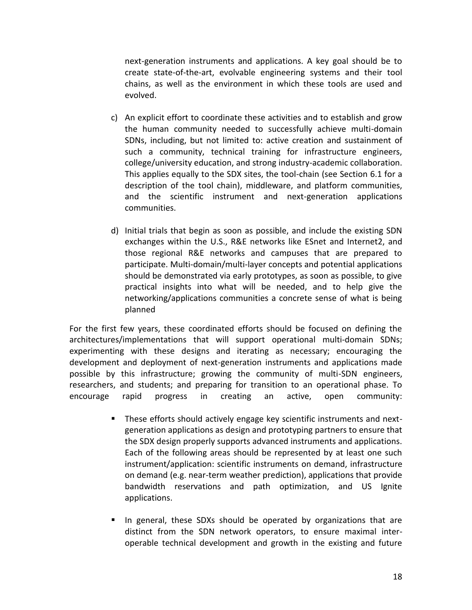next-generation instruments and applications. A key goal should be to create state-of-the-art, evolvable engineering systems and their tool chains, as well as the environment in which these tools are used and evolved.

- c) An explicit effort to coordinate these activities and to establish and grow the human community needed to successfully achieve multi-domain SDNs, including, but not limited to: active creation and sustainment of such a community, technical training for infrastructure engineers, college/university education, and strong industry-academic collaboration. This applies equally to the SDX sites, the tool-chain (see Section 6.1 for a description of the tool chain), middleware, and platform communities, and the scientific instrument and next-generation applications communities.
- d) Initial trials that begin as soon as possible, and include the existing SDN exchanges within the U.S., R&E networks like ESnet and Internet2, and those regional R&E networks and campuses that are prepared to participate. Multi-domain/multi-layer concepts and potential applications should be demonstrated via early prototypes, as soon as possible, to give practical insights into what will be needed, and to help give the networking/applications communities a concrete sense of what is being planned

For the first few years, these coordinated efforts should be focused on defining the architectures/implementations that will support operational multi-domain SDNs; experimenting with these designs and iterating as necessary; encouraging the development and deployment of next-generation instruments and applications made possible by this infrastructure; growing the community of multi-SDN engineers, researchers, and students; and preparing for transition to an operational phase. To encourage rapid progress in creating an active, open community:

- **These efforts should actively engage key scientific instruments and next**generation applications as design and prototyping partners to ensure that the SDX design properly supports advanced instruments and applications. Each of the following areas should be represented by at least one such instrument/application: scientific instruments on demand, infrastructure on demand (e.g. near-term weather prediction), applications that provide bandwidth reservations and path optimization, and US Ignite applications.
- In general, these SDXs should be operated by organizations that are distinct from the SDN network operators, to ensure maximal interoperable technical development and growth in the existing and future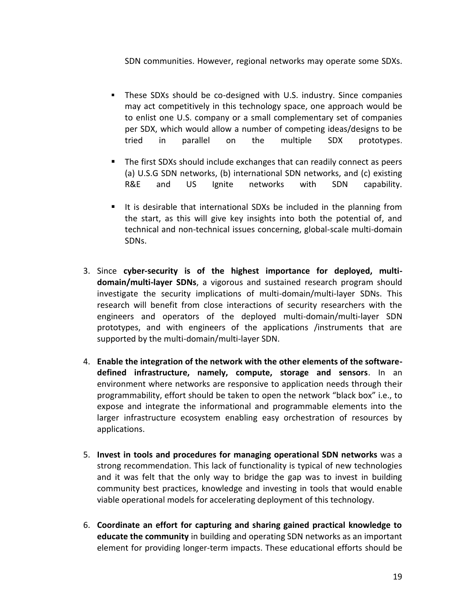SDN communities. However, regional networks may operate some SDXs.

- These SDXs should be co-designed with U.S. industry. Since companies may act competitively in this technology space, one approach would be to enlist one U.S. company or a small complementary set of companies per SDX, which would allow a number of competing ideas/designs to be tried in parallel on the multiple SDX prototypes.
- The first SDXs should include exchanges that can readily connect as peers (a) U.S.G SDN networks, (b) international SDN networks, and (c) existing R&E and US Ignite networks with SDN capability.
- It is desirable that international SDXs be included in the planning from the start, as this will give key insights into both the potential of, and technical and non-technical issues concerning, global-scale multi-domain SDNs.
- 3. Since **cyber-security is of the highest importance for deployed, multidomain/multi-layer SDNs**, a vigorous and sustained research program should investigate the security implications of multi-domain/multi-layer SDNs. This research will benefit from close interactions of security researchers with the engineers and operators of the deployed multi-domain/multi-layer SDN prototypes, and with engineers of the applications /instruments that are supported by the multi-domain/multi-layer SDN.
- 4. **Enable the integration of the network with the other elements of the softwaredefined infrastructure, namely, compute, storage and sensors**. In an environment where networks are responsive to application needs through their programmability, effort should be taken to open the network "black box" i.e., to expose and integrate the informational and programmable elements into the larger infrastructure ecosystem enabling easy orchestration of resources by applications.
- 5. **Invest in tools and procedures for managing operational SDN networks** was a strong recommendation. This lack of functionality is typical of new technologies and it was felt that the only way to bridge the gap was to invest in building community best practices, knowledge and investing in tools that would enable viable operational models for accelerating deployment of this technology.
- 6. **Coordinate an effort for capturing and sharing gained practical knowledge to educate the community** in building and operating SDN networks as an important element for providing longer-term impacts. These educational efforts should be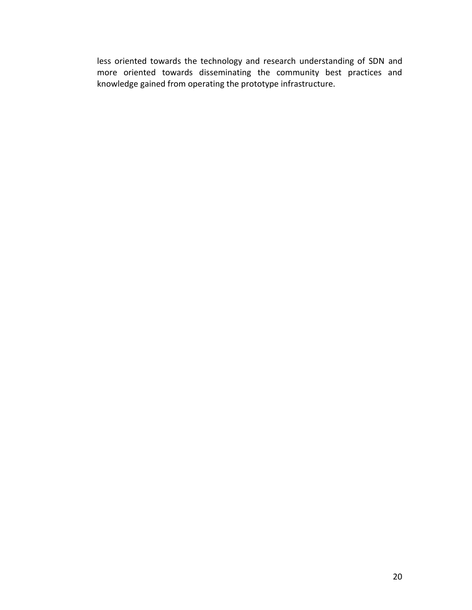less oriented towards the technology and research understanding of SDN and more oriented towards disseminating the community best practices and knowledge gained from operating the prototype infrastructure.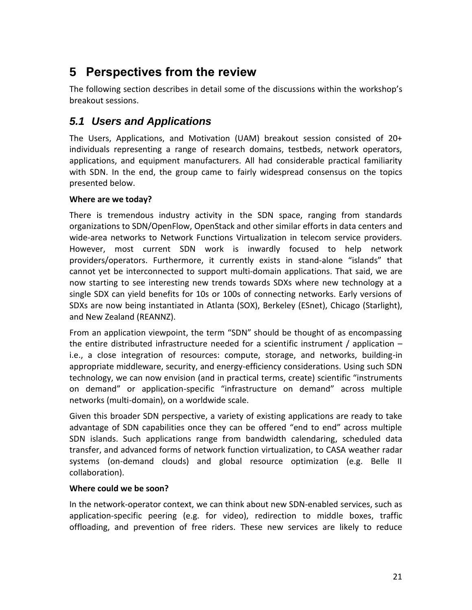## **5 Perspectives from the review**

The following section describes in detail some of the discussions within the workshop's breakout sessions.

## <span id="page-22-0"></span>*5.1 Users and Applications*

The Users, Applications, and Motivation (UAM) breakout session consisted of 20+ individuals representing a range of research domains, testbeds, network operators, applications, and equipment manufacturers. All had considerable practical familiarity with SDN. In the end, the group came to fairly widespread consensus on the topics presented below.

#### **Where are we today?**

There is tremendous industry activity in the SDN space, ranging from standards organizations to SDN/OpenFlow, OpenStack and other similar efforts in data centers and wide-area networks to Network Functions Virtualization in telecom service providers. However, most current SDN work is inwardly focused to help network providers/operators. Furthermore, it currently exists in stand-alone "islands" that cannot yet be interconnected to support multi-domain applications. That said, we are now starting to see interesting new trends towards SDXs where new technology at a single SDX can yield benefits for 10s or 100s of connecting networks. Early versions of SDXs are now being instantiated in Atlanta (SOX), Berkeley (ESnet), Chicago (Starlight), and New Zealand (REANNZ).

From an application viewpoint, the term "SDN" should be thought of as encompassing the entire distributed infrastructure needed for a scientific instrument / application – i.e., a close integration of resources: compute, storage, and networks, building-in appropriate middleware, security, and energy-efficiency considerations. Using such SDN technology, we can now envision (and in practical terms, create) scientific "instruments on demand" or application-specific "infrastructure on demand" across multiple networks (multi-domain), on a worldwide scale.

Given this broader SDN perspective, a variety of existing applications are ready to take advantage of SDN capabilities once they can be offered "end to end" across multiple SDN islands. Such applications range from bandwidth calendaring, scheduled data transfer, and advanced forms of network function virtualization, to CASA weather radar systems (on-demand clouds) and global resource optimization (e.g. Belle II collaboration).

#### **Where could we be soon?**

In the network-operator context, we can think about new SDN-enabled services, such as application-specific peering (e.g. for video), redirection to middle boxes, traffic offloading, and prevention of free riders. These new services are likely to reduce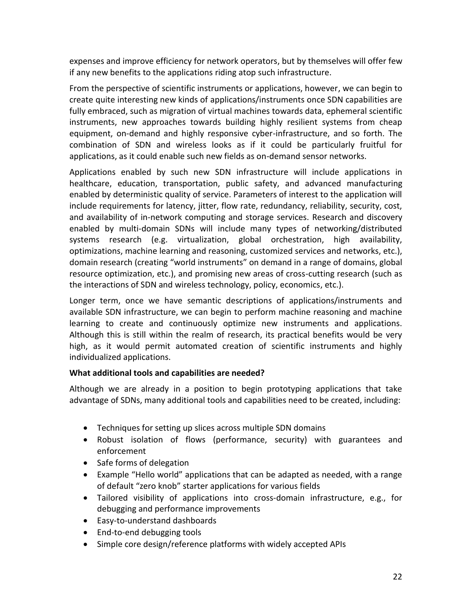expenses and improve efficiency for network operators, but by themselves will offer few if any new benefits to the applications riding atop such infrastructure.

From the perspective of scientific instruments or applications, however, we can begin to create quite interesting new kinds of applications/instruments once SDN capabilities are fully embraced, such as migration of virtual machines towards data, ephemeral scientific instruments, new approaches towards building highly resilient systems from cheap equipment, on-demand and highly responsive cyber-infrastructure, and so forth. The combination of SDN and wireless looks as if it could be particularly fruitful for applications, as it could enable such new fields as on-demand sensor networks.

Applications enabled by such new SDN infrastructure will include applications in healthcare, education, transportation, public safety, and advanced manufacturing enabled by deterministic quality of service. Parameters of interest to the application will include requirements for latency, jitter, flow rate, redundancy, reliability, security, cost, and availability of in-network computing and storage services. Research and discovery enabled by multi-domain SDNs will include many types of networking/distributed systems research (e.g. virtualization, global orchestration, high availability, optimizations, machine learning and reasoning, customized services and networks, etc.), domain research (creating "world instruments" on demand in a range of domains, global resource optimization, etc.), and promising new areas of cross-cutting research (such as the interactions of SDN and wireless technology, policy, economics, etc.).

Longer term, once we have semantic descriptions of applications/instruments and available SDN infrastructure, we can begin to perform machine reasoning and machine learning to create and continuously optimize new instruments and applications. Although this is still within the realm of research, its practical benefits would be very high, as it would permit automated creation of scientific instruments and highly individualized applications.

#### **What additional tools and capabilities are needed?**

Although we are already in a position to begin prototyping applications that take advantage of SDNs, many additional tools and capabilities need to be created, including:

- Techniques for setting up slices across multiple SDN domains
- Robust isolation of flows (performance, security) with guarantees and enforcement
- Safe forms of delegation
- Example "Hello world" applications that can be adapted as needed, with a range of default "zero knob" starter applications for various fields
- Tailored visibility of applications into cross-domain infrastructure, e.g., for debugging and performance improvements
- Easy-to-understand dashboards
- End-to-end debugging tools
- Simple core design/reference platforms with widely accepted APIs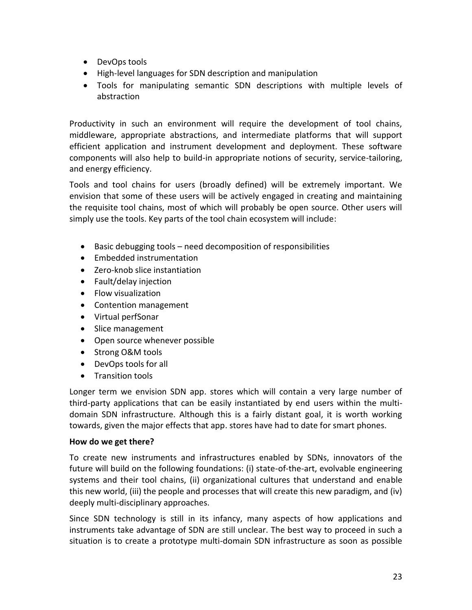- DevOps tools
- High-level languages for SDN description and manipulation
- Tools for manipulating semantic SDN descriptions with multiple levels of abstraction

Productivity in such an environment will require the development of tool chains, middleware, appropriate abstractions, and intermediate platforms that will support efficient application and instrument development and deployment. These software components will also help to build-in appropriate notions of security, service-tailoring, and energy efficiency.

Tools and tool chains for users (broadly defined) will be extremely important. We envision that some of these users will be actively engaged in creating and maintaining the requisite tool chains, most of which will probably be open source. Other users will simply use the tools. Key parts of the tool chain ecosystem will include:

- Basic debugging tools need decomposition of responsibilities
- Embedded instrumentation
- Zero-knob slice instantiation
- Fault/delay injection
- Flow visualization
- Contention management
- Virtual perfSonar
- Slice management
- Open source whenever possible
- Strong O&M tools
- DevOps tools for all
- Transition tools

Longer term we envision SDN app. stores which will contain a very large number of third-party applications that can be easily instantiated by end users within the multidomain SDN infrastructure. Although this is a fairly distant goal, it is worth working towards, given the major effects that app. stores have had to date for smart phones.

#### **How do we get there?**

To create new instruments and infrastructures enabled by SDNs, innovators of the future will build on the following foundations: (i) state-of-the-art, evolvable engineering systems and their tool chains, (ii) organizational cultures that understand and enable this new world, (iii) the people and processes that will create this new paradigm, and (iv) deeply multi-disciplinary approaches.

Since SDN technology is still in its infancy, many aspects of how applications and instruments take advantage of SDN are still unclear. The best way to proceed in such a situation is to create a prototype multi-domain SDN infrastructure as soon as possible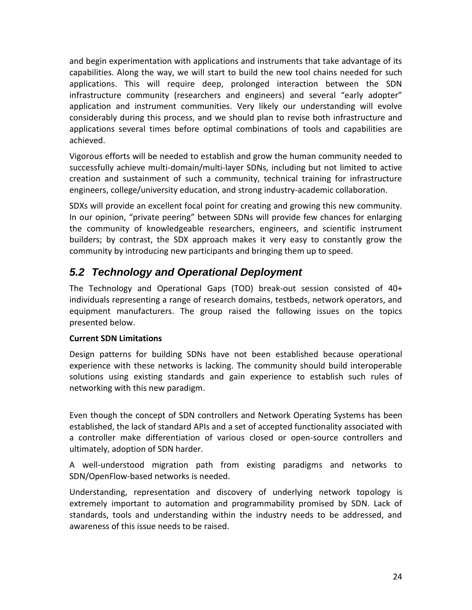and begin experimentation with applications and instruments that take advantage of its capabilities. Along the way, we will start to build the new tool chains needed for such applications. This will require deep, prolonged interaction between the SDN infrastructure community (researchers and engineers) and several "early adopter" application and instrument communities. Very likely our understanding will evolve considerably during this process, and we should plan to revise both infrastructure and applications several times before optimal combinations of tools and capabilities are achieved.

Vigorous efforts will be needed to establish and grow the human community needed to successfully achieve multi-domain/multi-layer SDNs, including but not limited to active creation and sustainment of such a community, technical training for infrastructure engineers, college/university education, and strong industry-academic collaboration.

SDXs will provide an excellent focal point for creating and growing this new community. In our opinion, "private peering" between SDNs will provide few chances for enlarging the community of knowledgeable researchers, engineers, and scientific instrument builders; by contrast, the SDX approach makes it very easy to constantly grow the community by introducing new participants and bringing them up to speed.

## <span id="page-25-0"></span>*5.2 Technology and Operational Deployment*

The Technology and Operational Gaps (TOD) break-out session consisted of 40+ individuals representing a range of research domains, testbeds, network operators, and equipment manufacturers. The group raised the following issues on the topics presented below.

#### **Current SDN Limitations**

Design patterns for building SDNs have not been established because operational experience with these networks is lacking. The community should build interoperable solutions using existing standards and gain experience to establish such rules of networking with this new paradigm.

Even though the concept of SDN controllers and Network Operating Systems has been established, the lack of standard APIs and a set of accepted functionality associated with a controller make differentiation of various closed or open-source controllers and ultimately, adoption of SDN harder.

A well-understood migration path from existing paradigms and networks to SDN/OpenFlow-based networks is needed.

Understanding, representation and discovery of underlying network topology is extremely important to automation and programmability promised by SDN. Lack of standards, tools and understanding within the industry needs to be addressed, and awareness of this issue needs to be raised.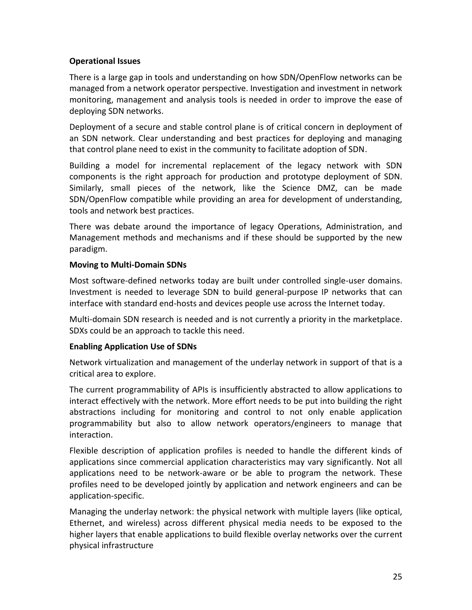#### **Operational Issues**

There is a large gap in tools and understanding on how SDN/OpenFlow networks can be managed from a network operator perspective. Investigation and investment in network monitoring, management and analysis tools is needed in order to improve the ease of deploying SDN networks.

Deployment of a secure and stable control plane is of critical concern in deployment of an SDN network. Clear understanding and best practices for deploying and managing that control plane need to exist in the community to facilitate adoption of SDN.

Building a model for incremental replacement of the legacy network with SDN components is the right approach for production and prototype deployment of SDN. Similarly, small pieces of the network, like the Science DMZ, can be made SDN/OpenFlow compatible while providing an area for development of understanding, tools and network best practices.

There was debate around the importance of legacy Operations, Administration, and Management methods and mechanisms and if these should be supported by the new paradigm.

#### **Moving to Multi-Domain SDNs**

Most software-defined networks today are built under controlled single-user domains. Investment is needed to leverage SDN to build general-purpose IP networks that can interface with standard end-hosts and devices people use across the Internet today.

Multi-domain SDN research is needed and is not currently a priority in the marketplace. SDXs could be an approach to tackle this need.

#### **Enabling Application Use of SDNs**

Network virtualization and management of the underlay network in support of that is a critical area to explore.

The current programmability of APIs is insufficiently abstracted to allow applications to interact effectively with the network. More effort needs to be put into building the right abstractions including for monitoring and control to not only enable application programmability but also to allow network operators/engineers to manage that interaction.

Flexible description of application profiles is needed to handle the different kinds of applications since commercial application characteristics may vary significantly. Not all applications need to be network-aware or be able to program the network. These profiles need to be developed jointly by application and network engineers and can be application-specific.

Managing the underlay network: the physical network with multiple layers (like optical, Ethernet, and wireless) across different physical media needs to be exposed to the higher layers that enable applications to build flexible overlay networks over the current physical infrastructure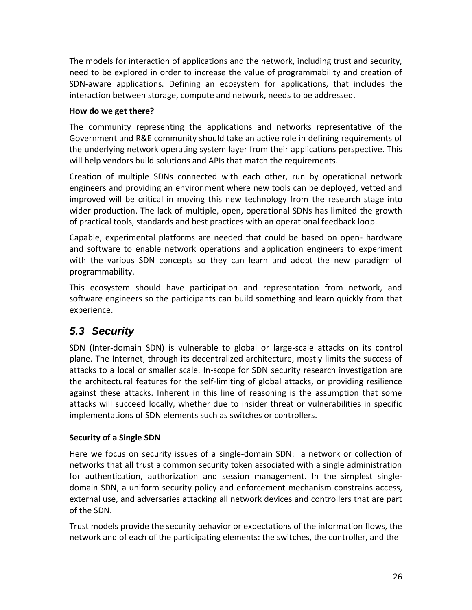The models for interaction of applications and the network, including trust and security, need to be explored in order to increase the value of programmability and creation of SDN-aware applications. Defining an ecosystem for applications, that includes the interaction between storage, compute and network, needs to be addressed.

#### **How do we get there?**

The community representing the applications and networks representative of the Government and R&E community should take an active role in defining requirements of the underlying network operating system layer from their applications perspective. This will help vendors build solutions and APIs that match the requirements.

Creation of multiple SDNs connected with each other, run by operational network engineers and providing an environment where new tools can be deployed, vetted and improved will be critical in moving this new technology from the research stage into wider production. The lack of multiple, open, operational SDNs has limited the growth of practical tools, standards and best practices with an operational feedback loop.

Capable, experimental platforms are needed that could be based on open- hardware and software to enable network operations and application engineers to experiment with the various SDN concepts so they can learn and adopt the new paradigm of programmability.

This ecosystem should have participation and representation from network, and software engineers so the participants can build something and learn quickly from that experience.

## *5.3 Security*

SDN (Inter-domain SDN) is vulnerable to global or large-scale attacks on its control plane. The Internet, through its decentralized architecture, mostly limits the success of attacks to a local or smaller scale. In-scope for SDN security research investigation are the architectural features for the self-limiting of global attacks, or providing resilience against these attacks. Inherent in this line of reasoning is the assumption that some attacks will succeed locally, whether due to insider threat or vulnerabilities in specific implementations of SDN elements such as switches or controllers.

#### **Security of a Single SDN**

Here we focus on security issues of a single-domain SDN: a network or collection of networks that all trust a common security token associated with a single administration for authentication, authorization and session management. In the simplest singledomain SDN, a uniform security policy and enforcement mechanism constrains access, external use, and adversaries attacking all network devices and controllers that are part of the SDN.

Trust models provide the security behavior or expectations of the information flows, the network and of each of the participating elements: the switches, the controller, and the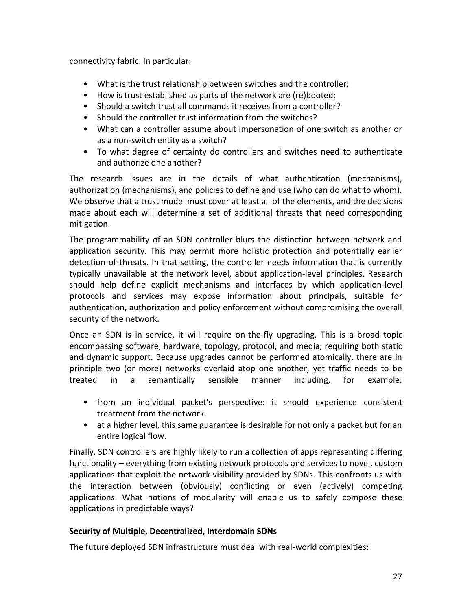connectivity fabric. In particular:

- What is the trust relationship between switches and the controller;
- How is trust established as parts of the network are (re)booted;
- Should a switch trust all commands it receives from a controller?
- Should the controller trust information from the switches?
- What can a controller assume about impersonation of one switch as another or as a non-switch entity as a switch?
- To what degree of certainty do controllers and switches need to authenticate and authorize one another?

The research issues are in the details of what authentication (mechanisms), authorization (mechanisms), and policies to define and use (who can do what to whom). We observe that a trust model must cover at least all of the elements, and the decisions made about each will determine a set of additional threats that need corresponding mitigation.

The programmability of an SDN controller blurs the distinction between network and application security. This may permit more holistic protection and potentially earlier detection of threats. In that setting, the controller needs information that is currently typically unavailable at the network level, about application-level principles. Research should help define explicit mechanisms and interfaces by which application-level protocols and services may expose information about principals, suitable for authentication, authorization and policy enforcement without compromising the overall security of the network.

Once an SDN is in service, it will require on-the-fly upgrading. This is a broad topic encompassing software, hardware, topology, protocol, and media; requiring both static and dynamic support. Because upgrades cannot be performed atomically, there are in principle two (or more) networks overlaid atop one another, yet traffic needs to be treated in a semantically sensible manner including, for example:

- from an individual packet's perspective: it should experience consistent treatment from the network.
- at a higher level, this same guarantee is desirable for not only a packet but for an entire logical flow.

Finally, SDN controllers are highly likely to run a collection of apps representing differing functionality – everything from existing network protocols and services to novel, custom applications that exploit the network visibility provided by SDNs. This confronts us with the interaction between (obviously) conflicting or even (actively) competing applications. What notions of modularity will enable us to safely compose these applications in predictable ways?

#### **Security of Multiple, Decentralized, Interdomain SDNs**

The future deployed SDN infrastructure must deal with real-world complexities: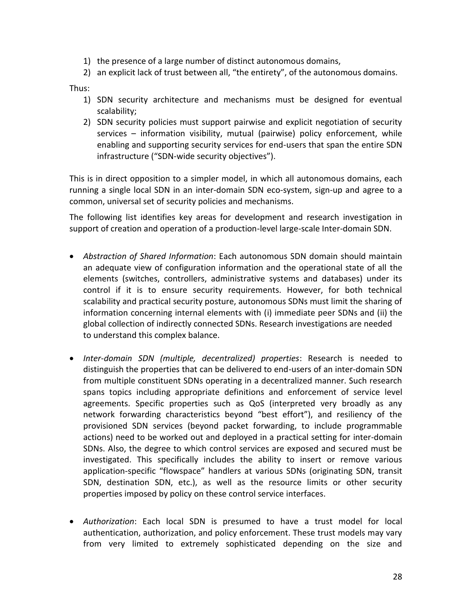- 1) the presence of a large number of distinct autonomous domains,
- 2) an explicit lack of trust between all, "the entirety", of the autonomous domains.

Thus:

- 1) SDN security architecture and mechanisms must be designed for eventual scalability;
- 2) SDN security policies must support pairwise and explicit negotiation of security services – information visibility, mutual (pairwise) policy enforcement, while enabling and supporting security services for end-users that span the entire SDN infrastructure ("SDN-wide security objectives").

This is in direct opposition to a simpler model, in which all autonomous domains, each running a single local SDN in an inter-domain SDN eco-system, sign-up and agree to a common, universal set of security policies and mechanisms.

The following list identifies key areas for development and research investigation in support of creation and operation of a production-level large-scale Inter-domain SDN.

- *Abstraction of Shared Information*: Each autonomous SDN domain should maintain an adequate view of configuration information and the operational state of all the elements (switches, controllers, administrative systems and databases) under its control if it is to ensure security requirements. However, for both technical scalability and practical security posture, autonomous SDNs must limit the sharing of information concerning internal elements with (i) immediate peer SDNs and (ii) the global collection of indirectly connected SDNs. Research investigations are needed to understand this complex balance.
- *Inter-domain SDN (multiple, decentralized) properties*: Research is needed to distinguish the properties that can be delivered to end-users of an inter-domain SDN from multiple constituent SDNs operating in a decentralized manner. Such research spans topics including appropriate definitions and enforcement of service level agreements. Specific properties such as QoS (interpreted very broadly as any network forwarding characteristics beyond "best effort"), and resiliency of the provisioned SDN services (beyond packet forwarding, to include programmable actions) need to be worked out and deployed in a practical setting for inter-domain SDNs. Also, the degree to which control services are exposed and secured must be investigated. This specifically includes the ability to insert or remove various application-specific "flowspace" handlers at various SDNs (originating SDN, transit SDN, destination SDN, etc.), as well as the resource limits or other security properties imposed by policy on these control service interfaces.
- *Authorization*: Each local SDN is presumed to have a trust model for local authentication, authorization, and policy enforcement. These trust models may vary from very limited to extremely sophisticated depending on the size and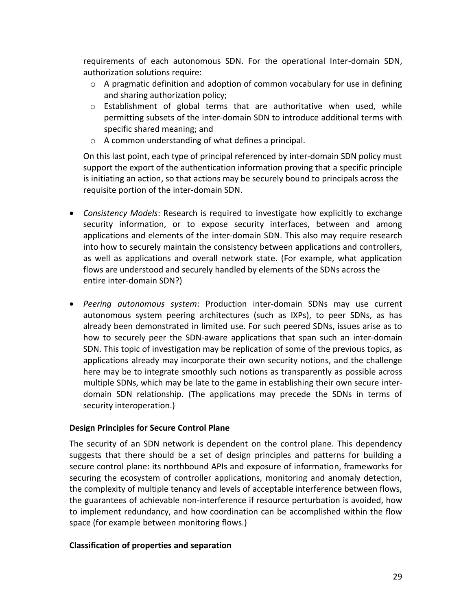requirements of each autonomous SDN. For the operational Inter-domain SDN, authorization solutions require:

- $\circ$  A pragmatic definition and adoption of common vocabulary for use in defining and sharing authorization policy;
- $\circ$  Establishment of global terms that are authoritative when used, while permitting subsets of the inter-domain SDN to introduce additional terms with specific shared meaning; and
- o A common understanding of what defines a principal.

On this last point, each type of principal referenced by inter-domain SDN policy must support the export of the authentication information proving that a specific principle is initiating an action, so that actions may be securely bound to principals across the requisite portion of the inter-domain SDN.

- *Consistency Models*: Research is required to investigate how explicitly to exchange security information, or to expose security interfaces, between and among applications and elements of the inter-domain SDN. This also may require research into how to securely maintain the consistency between applications and controllers, as well as applications and overall network state. (For example, what application flows are understood and securely handled by elements of the SDNs across the entire inter-domain SDN?)
- *Peering autonomous system*: Production inter-domain SDNs may use current autonomous system peering architectures (such as IXPs), to peer SDNs, as has already been demonstrated in limited use. For such peered SDNs, issues arise as to how to securely peer the SDN-aware applications that span such an inter-domain SDN. This topic of investigation may be replication of some of the previous topics, as applications already may incorporate their own security notions, and the challenge here may be to integrate smoothly such notions as transparently as possible across multiple SDNs, which may be late to the game in establishing their own secure interdomain SDN relationship. (The applications may precede the SDNs in terms of security interoperation.)

#### **Design Principles for Secure Control Plane**

The security of an SDN network is dependent on the control plane. This dependency suggests that there should be a set of design principles and patterns for building a secure control plane: its northbound APIs and exposure of information, frameworks for securing the ecosystem of controller applications, monitoring and anomaly detection, the complexity of multiple tenancy and levels of acceptable interference between flows, the guarantees of achievable non-interference if resource perturbation is avoided, how to implement redundancy, and how coordination can be accomplished within the flow space (for example between monitoring flows.)

#### **Classification of properties and separation**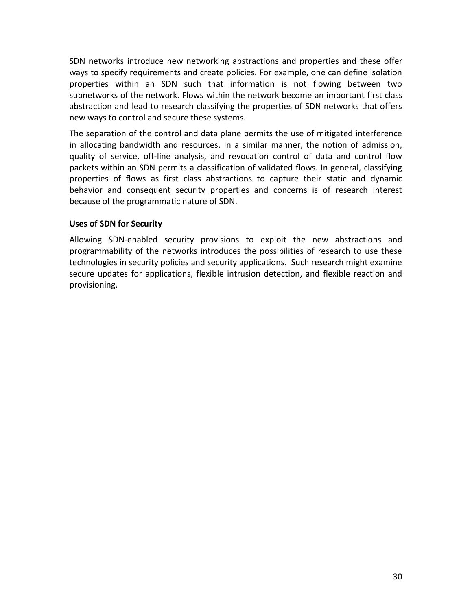SDN networks introduce new networking abstractions and properties and these offer ways to specify requirements and create policies. For example, one can define isolation properties within an SDN such that information is not flowing between two subnetworks of the network. Flows within the network become an important first class abstraction and lead to research classifying the properties of SDN networks that offers new ways to control and secure these systems.

The separation of the control and data plane permits the use of mitigated interference in allocating bandwidth and resources. In a similar manner, the notion of admission, quality of service, off-line analysis, and revocation control of data and control flow packets within an SDN permits a classification of validated flows. In general, classifying properties of flows as first class abstractions to capture their static and dynamic behavior and consequent security properties and concerns is of research interest because of the programmatic nature of SDN.

#### **Uses of SDN for Security**

Allowing SDN-enabled security provisions to exploit the new abstractions and programmability of the networks introduces the possibilities of research to use these technologies in security policies and security applications. Such research might examine secure updates for applications, flexible intrusion detection, and flexible reaction and provisioning.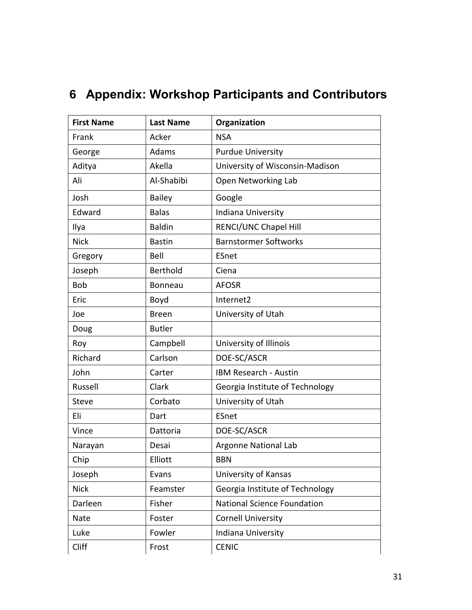| <b>First Name</b> | <b>Last Name</b> | Organization                       |
|-------------------|------------------|------------------------------------|
| Frank             | Acker            | <b>NSA</b>                         |
| George            | Adams            | <b>Purdue University</b>           |
| Aditya            | Akella           | University of Wisconsin-Madison    |
| Ali               | Al-Shabibi       | Open Networking Lab                |
| Josh              | <b>Bailey</b>    | Google                             |
| Edward            | <b>Balas</b>     | Indiana University                 |
| Ilya              | <b>Baldin</b>    | RENCI/UNC Chapel Hill              |
| <b>Nick</b>       | <b>Bastin</b>    | <b>Barnstormer Softworks</b>       |
| Gregory           | Bell             | ESnet                              |
| Joseph            | Berthold         | Ciena                              |
| <b>Bob</b>        | <b>Bonneau</b>   | <b>AFOSR</b>                       |
| Eric              | Boyd             | Internet2                          |
| Joe               | <b>Breen</b>     | University of Utah                 |
| Doug              | <b>Butler</b>    |                                    |
| Roy               | Campbell         | University of Illinois             |
| Richard           | Carlson          | DOE-SC/ASCR                        |
| John              | Carter           | IBM Research - Austin              |
| Russell           | Clark            | Georgia Institute of Technology    |
| <b>Steve</b>      | Corbato          | University of Utah                 |
| Eli               | Dart             | ESnet                              |
| Vince             | Dattoria         | DOE-SC/ASCR                        |
| Narayan           | Desai            | Argonne National Lab               |
| Chip              | Elliott          | <b>BBN</b>                         |
| Joseph            | Evans            | University of Kansas               |
| <b>Nick</b>       | Feamster         | Georgia Institute of Technology    |
| Darleen           | Fisher           | <b>National Science Foundation</b> |
| Nate              | Foster           | <b>Cornell University</b>          |
| Luke              | Fowler           | Indiana University                 |
| Cliff             | Frost            | <b>CENIC</b>                       |

## **6 Appendix: Workshop Participants and Contributors**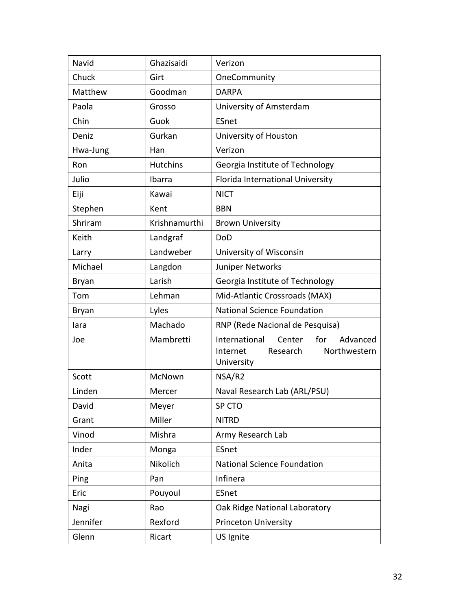| Navid        | Ghazisaidi      | Verizon                                                                            |
|--------------|-----------------|------------------------------------------------------------------------------------|
| Chuck        | Girt            | OneCommunity                                                                       |
| Matthew      | Goodman         | <b>DARPA</b>                                                                       |
| Paola        | Grosso          | University of Amsterdam                                                            |
| Chin         | Guok            | <b>ESnet</b>                                                                       |
| Deniz        | Gurkan          | University of Houston                                                              |
| Hwa-Jung     | Han             | Verizon                                                                            |
| Ron          | <b>Hutchins</b> | Georgia Institute of Technology                                                    |
| Julio        | Ibarra          | Florida International University                                                   |
| Eiji         | Kawai           | <b>NICT</b>                                                                        |
| Stephen      | Kent            | <b>BBN</b>                                                                         |
| Shriram      | Krishnamurthi   | <b>Brown University</b>                                                            |
| Keith        | Landgraf        | DoD                                                                                |
| Larry        | Landweber       | University of Wisconsin                                                            |
| Michael      | Langdon         | Juniper Networks                                                                   |
| Bryan        | Larish          | Georgia Institute of Technology                                                    |
| Tom          | Lehman          | Mid-Atlantic Crossroads (MAX)                                                      |
| <b>Bryan</b> | Lyles           | <b>National Science Foundation</b>                                                 |
| lara         | Machado         | RNP (Rede Nacional de Pesquisa)                                                    |
| Joe          | Mambretti       | Advanced<br>International<br>for<br>Center<br>Northwestern<br>Internet<br>Research |
|              |                 | University                                                                         |
| Scott        | McNown          | NSA/R2                                                                             |
| Linden       | Mercer          | Naval Research Lab (ARL/PSU)                                                       |
| David        | Meyer           | SP CTO                                                                             |
| Grant        | Miller          | <b>NITRD</b>                                                                       |
| Vinod        | Mishra          | Army Research Lab                                                                  |
| Inder        | Monga           | ESnet                                                                              |
| Anita        | Nikolich        | National Science Foundation                                                        |
| Ping         | Pan             | Infinera                                                                           |
| Eric         | Pouyoul         | ESnet                                                                              |
| Nagi         | Rao             | Oak Ridge National Laboratory                                                      |
| Jennifer     | Rexford         | <b>Princeton University</b>                                                        |
| Glenn        | Ricart          | US Ignite                                                                          |
|              |                 |                                                                                    |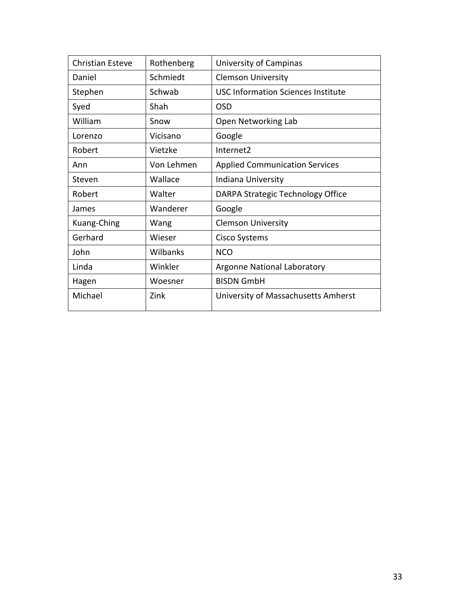| <b>Christian Esteve</b> | Rothenberg | University of Campinas                    |
|-------------------------|------------|-------------------------------------------|
| Daniel                  | Schmiedt   | <b>Clemson University</b>                 |
| Stephen                 | Schwab     | <b>USC Information Sciences Institute</b> |
| Syed                    | Shah       | <b>OSD</b>                                |
| William                 | Snow       | Open Networking Lab                       |
| Lorenzo                 | Vicisano   | Google                                    |
| Robert                  | Vietzke    | Internet <sub>2</sub>                     |
| Ann                     | Von Lehmen | <b>Applied Communication Services</b>     |
| Steven                  | Wallace    | Indiana University                        |
| Robert                  | Walter     | DARPA Strategic Technology Office         |
| James                   | Wanderer   | Google                                    |
| Kuang-Ching             | Wang       | <b>Clemson University</b>                 |
| Gerhard                 | Wieser     | Cisco Systems                             |
| John                    | Wilbanks   | <b>NCO</b>                                |
| Linda                   | Winkler    | Argonne National Laboratory               |
| Hagen                   | Woesner    | <b>BISDN GmbH</b>                         |
| Michael                 | Zink       | University of Massachusetts Amherst       |